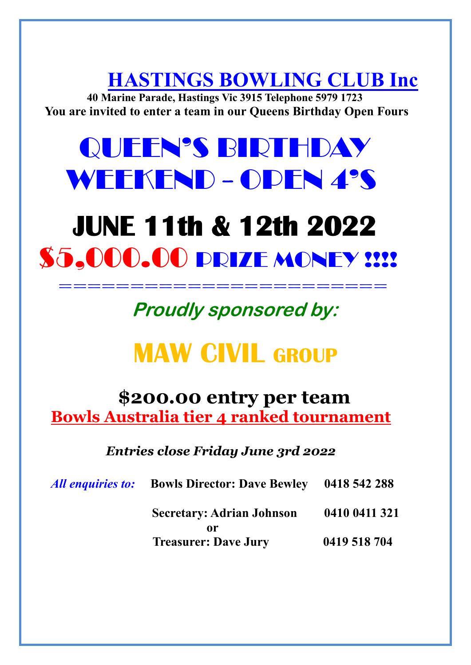**HASTINGS BOWLING CLUB Inc**

 **40 Marine Parade, Hastings Vic 3915 Telephone 5979 1723 You are invited to enter a team in our Queens Birthday Open Fours**

# QUEEN'S BIRTHDAY WEEKEND - OPEN 4'S

## **JUNE 11th & 12th 2022 \$5.000.00 PRIZE MONEY !!!!** =============================

**Proudly sponsored by:** 

## **MAW CIVIL GROUP**

### **\$200.00 entry per team Bowls Australia tier 4 ranked tournament**

 *Entries close Friday June 3rd 2022*

| All enquiries to: | <b>Bowls Director: Dave Bewley</b> | 0418 542 288  |
|-------------------|------------------------------------|---------------|
|                   | <b>Secretary: Adrian Johnson</b>   | 0410 0411 321 |
|                   | or<br><b>Treasurer: Dave Jury</b>  | 0419 518 704  |